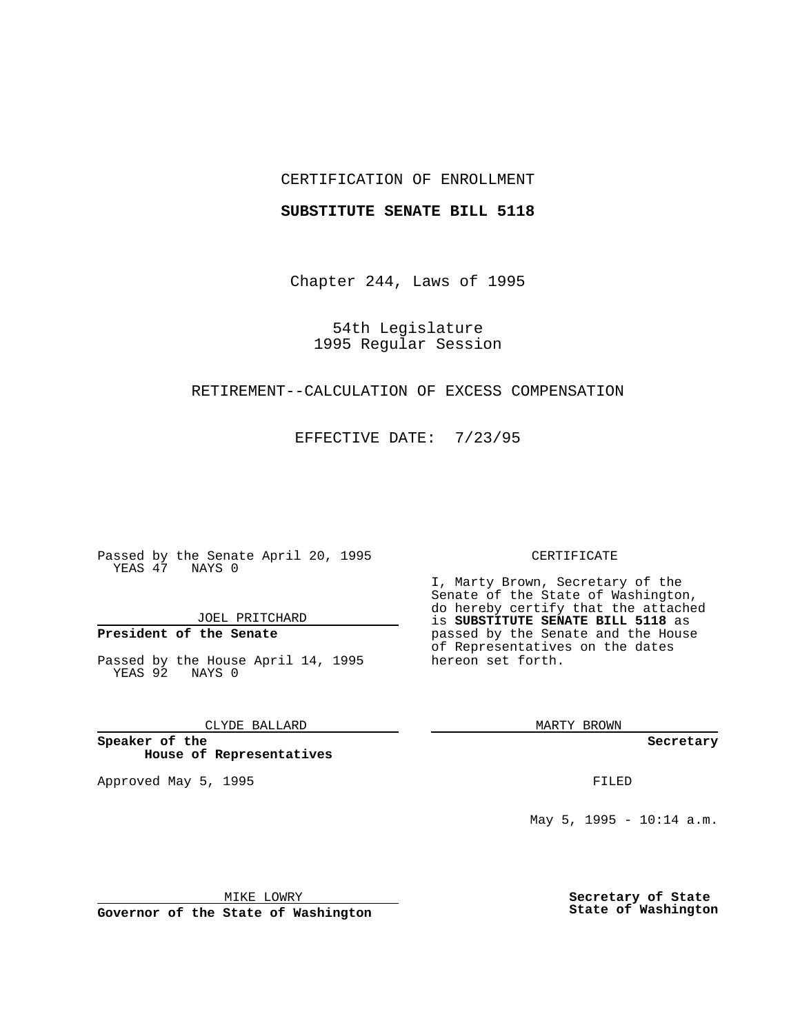## CERTIFICATION OF ENROLLMENT

### **SUBSTITUTE SENATE BILL 5118**

Chapter 244, Laws of 1995

54th Legislature 1995 Regular Session

# RETIREMENT--CALCULATION OF EXCESS COMPENSATION

EFFECTIVE DATE: 7/23/95

Passed by the Senate April 20, 1995 YEAS 47 NAYS 0

JOEL PRITCHARD

# **President of the Senate**

Passed by the House April 14, 1995 YEAS 92 NAYS 0

CLYDE BALLARD

**Speaker of the House of Representatives**

Approved May 5, 1995 **FILED** 

#### CERTIFICATE

I, Marty Brown, Secretary of the Senate of the State of Washington, do hereby certify that the attached is **SUBSTITUTE SENATE BILL 5118** as passed by the Senate and the House of Representatives on the dates hereon set forth.

MARTY BROWN

**Secretary**

May 5, 1995 - 10:14 a.m.

MIKE LOWRY

**Governor of the State of Washington**

**Secretary of State State of Washington**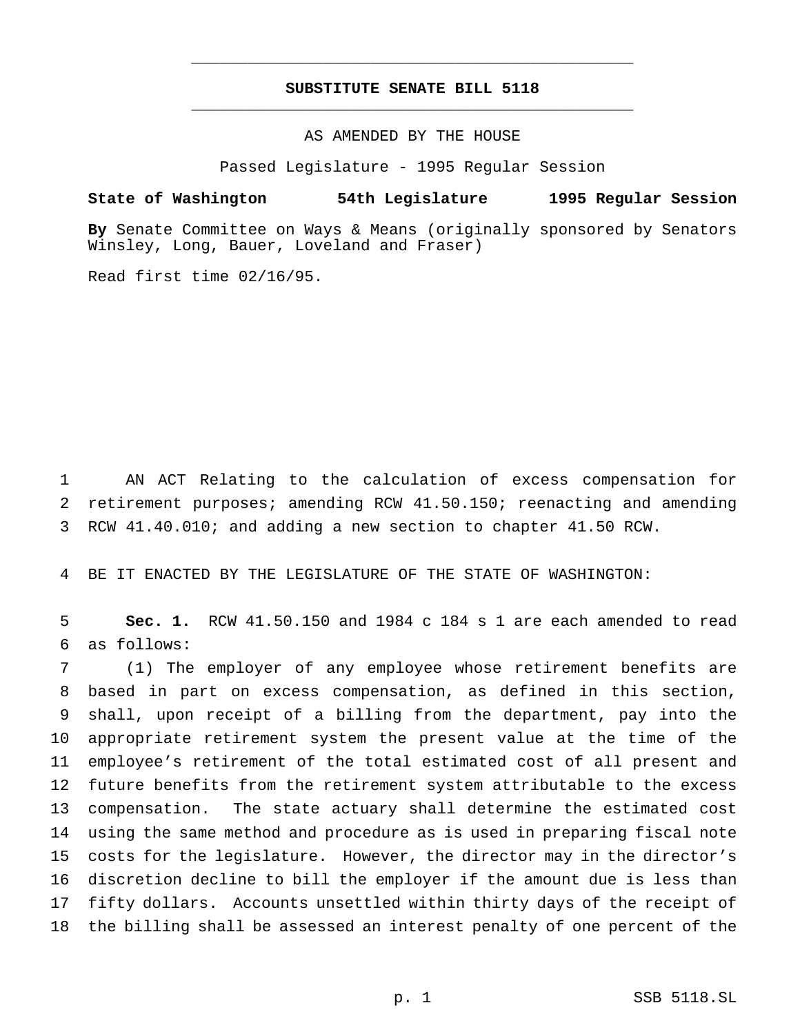# **SUBSTITUTE SENATE BILL 5118** \_\_\_\_\_\_\_\_\_\_\_\_\_\_\_\_\_\_\_\_\_\_\_\_\_\_\_\_\_\_\_\_\_\_\_\_\_\_\_\_\_\_\_\_\_\_\_

\_\_\_\_\_\_\_\_\_\_\_\_\_\_\_\_\_\_\_\_\_\_\_\_\_\_\_\_\_\_\_\_\_\_\_\_\_\_\_\_\_\_\_\_\_\_\_

## AS AMENDED BY THE HOUSE

Passed Legislature - 1995 Regular Session

#### **State of Washington 54th Legislature 1995 Regular Session**

**By** Senate Committee on Ways & Means (originally sponsored by Senators Winsley, Long, Bauer, Loveland and Fraser)

Read first time 02/16/95.

 AN ACT Relating to the calculation of excess compensation for retirement purposes; amending RCW 41.50.150; reenacting and amending RCW 41.40.010; and adding a new section to chapter 41.50 RCW.

BE IT ENACTED BY THE LEGISLATURE OF THE STATE OF WASHINGTON:

 **Sec. 1.** RCW 41.50.150 and 1984 c 184 s 1 are each amended to read as follows:

 (1) The employer of any employee whose retirement benefits are based in part on excess compensation, as defined in this section, shall, upon receipt of a billing from the department, pay into the appropriate retirement system the present value at the time of the employee's retirement of the total estimated cost of all present and future benefits from the retirement system attributable to the excess compensation. The state actuary shall determine the estimated cost using the same method and procedure as is used in preparing fiscal note costs for the legislature. However, the director may in the director's discretion decline to bill the employer if the amount due is less than fifty dollars. Accounts unsettled within thirty days of the receipt of the billing shall be assessed an interest penalty of one percent of the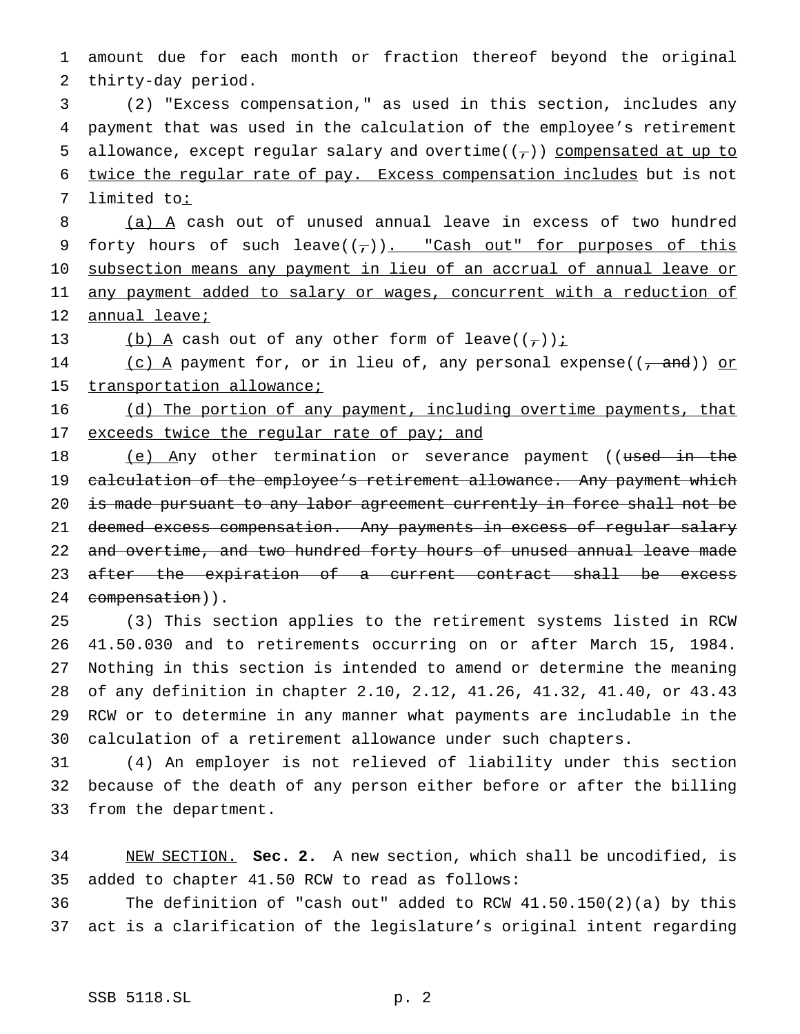1 amount due for each month or fraction thereof beyond the original 2 thirty-day period.

3 (2) "Excess compensation," as used in this section, includes any 4 payment that was used in the calculation of the employee's retirement 5 allowance, except regular salary and overtime( $(\tau)$ ) compensated at up to 6 twice the regular rate of pay. Excess compensation includes but is not 7 limited to:

8 (a) A cash out of unused annual leave in excess of two hundred 9 forty hours of such leave $((7))$ . "Cash out" for purposes of this 10 subsection means any payment in lieu of an accrual of annual leave or 11 any payment added to salary or wages, concurrent with a reduction of 12 annual leave;

13 (b) A cash out of any other form of leave( $(\tau)$ );

14 (c) A payment for, or in lieu of, any personal expense( $(\tau$  and)) or 15 transportation allowance;

16 (d) The portion of any payment, including overtime payments, that 17 exceeds twice the regular rate of pay; and

18 (e) Any other termination or severance payment ((used in the 19 calculation of the employee's retirement allowance. Any payment which 20 is made pursuant to any labor agreement currently in force shall not be 21 deemed excess compensation. Any payments in excess of regular salary 22 and overtime, and two hundred forty hours of unused annual leave made 23 after the expiration of a current contract shall be excess 24 compensation)).

 (3) This section applies to the retirement systems listed in RCW 41.50.030 and to retirements occurring on or after March 15, 1984. Nothing in this section is intended to amend or determine the meaning of any definition in chapter 2.10, 2.12, 41.26, 41.32, 41.40, or 43.43 RCW or to determine in any manner what payments are includable in the calculation of a retirement allowance under such chapters.

31 (4) An employer is not relieved of liability under this section 32 because of the death of any person either before or after the billing 33 from the department.

34 NEW SECTION. **Sec. 2.** A new section, which shall be uncodified, is 35 added to chapter 41.50 RCW to read as follows:

36 The definition of "cash out" added to RCW 41.50.150(2)(a) by this 37 act is a clarification of the legislature's original intent regarding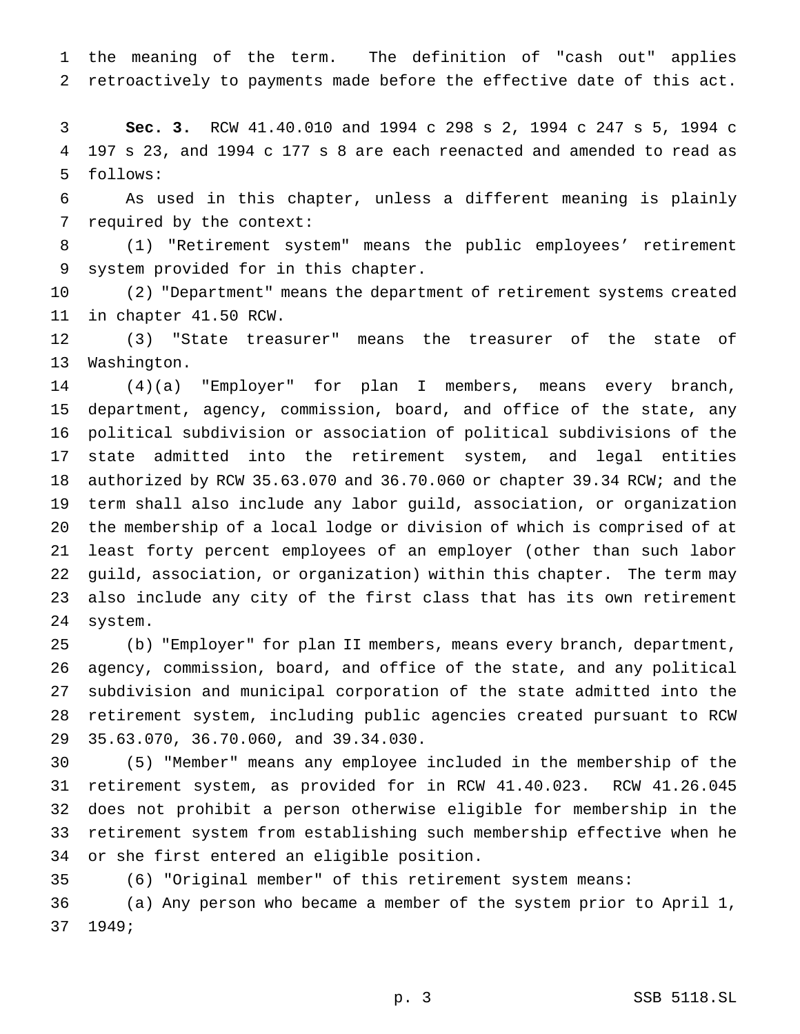the meaning of the term. The definition of "cash out" applies retroactively to payments made before the effective date of this act.

 **Sec. 3.** RCW 41.40.010 and 1994 c 298 s 2, 1994 c 247 s 5, 1994 c 197 s 23, and 1994 c 177 s 8 are each reenacted and amended to read as follows:

 As used in this chapter, unless a different meaning is plainly required by the context:

 (1) "Retirement system" means the public employees' retirement system provided for in this chapter.

 (2) "Department" means the department of retirement systems created in chapter 41.50 RCW.

 (3) "State treasurer" means the treasurer of the state of Washington.

 (4)(a) "Employer" for plan I members, means every branch, department, agency, commission, board, and office of the state, any political subdivision or association of political subdivisions of the state admitted into the retirement system, and legal entities authorized by RCW 35.63.070 and 36.70.060 or chapter 39.34 RCW; and the term shall also include any labor guild, association, or organization the membership of a local lodge or division of which is comprised of at least forty percent employees of an employer (other than such labor guild, association, or organization) within this chapter. The term may also include any city of the first class that has its own retirement system.

 (b) "Employer" for plan II members, means every branch, department, agency, commission, board, and office of the state, and any political subdivision and municipal corporation of the state admitted into the retirement system, including public agencies created pursuant to RCW 35.63.070, 36.70.060, and 39.34.030.

 (5) "Member" means any employee included in the membership of the retirement system, as provided for in RCW 41.40.023. RCW 41.26.045 does not prohibit a person otherwise eligible for membership in the retirement system from establishing such membership effective when he or she first entered an eligible position.

(6) "Original member" of this retirement system means:

 (a) Any person who became a member of the system prior to April 1, 1949;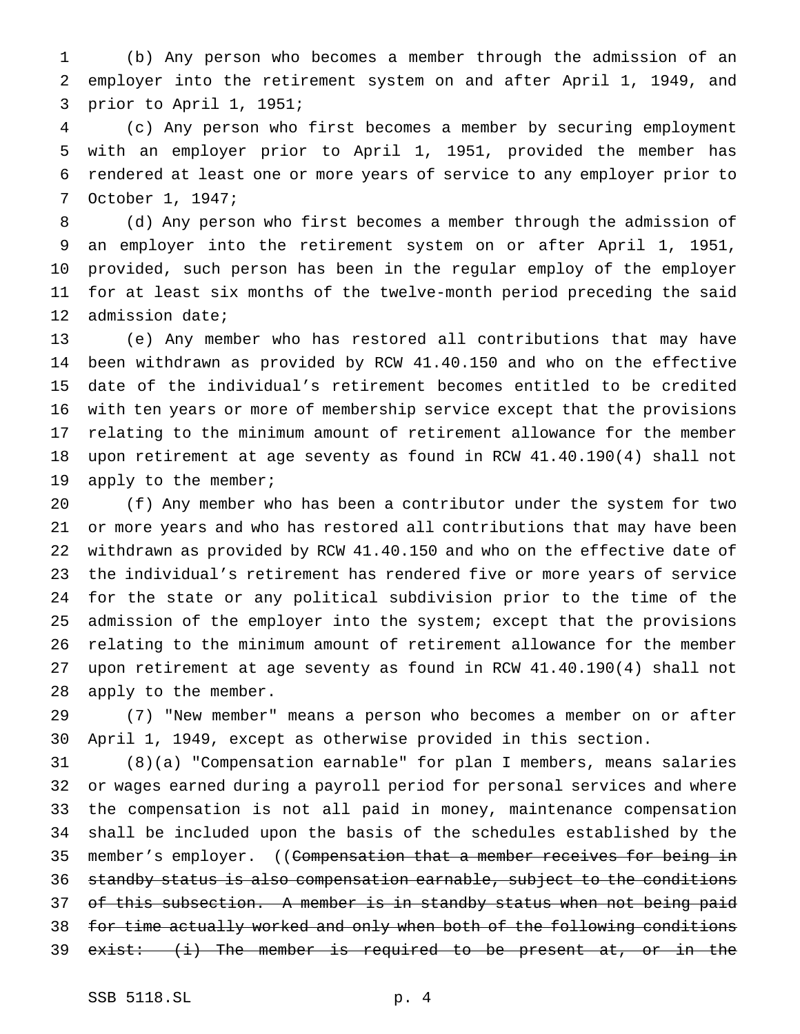(b) Any person who becomes a member through the admission of an employer into the retirement system on and after April 1, 1949, and prior to April 1, 1951;

 (c) Any person who first becomes a member by securing employment with an employer prior to April 1, 1951, provided the member has rendered at least one or more years of service to any employer prior to October 1, 1947;

 (d) Any person who first becomes a member through the admission of an employer into the retirement system on or after April 1, 1951, provided, such person has been in the regular employ of the employer for at least six months of the twelve-month period preceding the said admission date;

 (e) Any member who has restored all contributions that may have been withdrawn as provided by RCW 41.40.150 and who on the effective date of the individual's retirement becomes entitled to be credited with ten years or more of membership service except that the provisions relating to the minimum amount of retirement allowance for the member upon retirement at age seventy as found in RCW 41.40.190(4) shall not 19 apply to the member;

 (f) Any member who has been a contributor under the system for two or more years and who has restored all contributions that may have been withdrawn as provided by RCW 41.40.150 and who on the effective date of the individual's retirement has rendered five or more years of service for the state or any political subdivision prior to the time of the admission of the employer into the system; except that the provisions relating to the minimum amount of retirement allowance for the member upon retirement at age seventy as found in RCW 41.40.190(4) shall not apply to the member.

 (7) "New member" means a person who becomes a member on or after April 1, 1949, except as otherwise provided in this section.

 (8)(a) "Compensation earnable" for plan I members, means salaries or wages earned during a payroll period for personal services and where the compensation is not all paid in money, maintenance compensation shall be included upon the basis of the schedules established by the 35 member's employer. ((Compensation that a member receives for being in standby status is also compensation earnable, subject to the conditions 37 of this subsection. A member is in standby status when not being paid for time actually worked and only when both of the following conditions 39 exist: (i) The member is required to be present at, or in the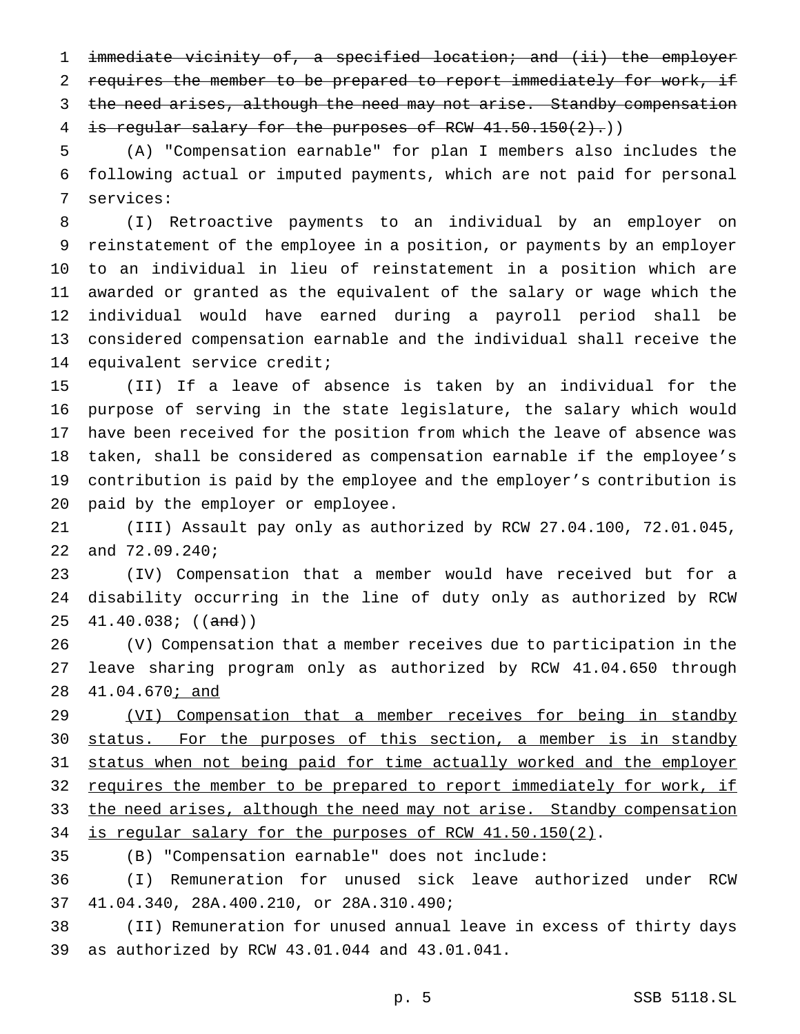immediate vicinity of, a specified location; and (ii) the employer 2 requires the member to be prepared to report immediately for work, if 3 the need arises, although the need may not arise. Standby compensation 4 is regular salary for the purposes of RCW 41.50.150(2).)

 (A) "Compensation earnable" for plan I members also includes the following actual or imputed payments, which are not paid for personal services:

 (I) Retroactive payments to an individual by an employer on reinstatement of the employee in a position, or payments by an employer to an individual in lieu of reinstatement in a position which are awarded or granted as the equivalent of the salary or wage which the individual would have earned during a payroll period shall be considered compensation earnable and the individual shall receive the equivalent service credit;

 (II) If a leave of absence is taken by an individual for the purpose of serving in the state legislature, the salary which would have been received for the position from which the leave of absence was taken, shall be considered as compensation earnable if the employee's contribution is paid by the employee and the employer's contribution is paid by the employer or employee.

 (III) Assault pay only as authorized by RCW 27.04.100, 72.01.045, and 72.09.240;

 (IV) Compensation that a member would have received but for a disability occurring in the line of duty only as authorized by RCW  $25 \quad 41.40.038;$  ((and))

 (V) Compensation that a member receives due to participation in the leave sharing program only as authorized by RCW 41.04.650 through 41.04.670; and

29 (VI) Compensation that a member receives for being in standby 30 status. For the purposes of this section, a member is in standby status when not being paid for time actually worked and the employer 32 requires the member to be prepared to report immediately for work, if 33 the need arises, although the need may not arise. Standby compensation is regular salary for the purposes of RCW 41.50.150(2).

(B) "Compensation earnable" does not include:

 (I) Remuneration for unused sick leave authorized under RCW 41.04.340, 28A.400.210, or 28A.310.490;

 (II) Remuneration for unused annual leave in excess of thirty days as authorized by RCW 43.01.044 and 43.01.041.

p. 5 SSB 5118.SL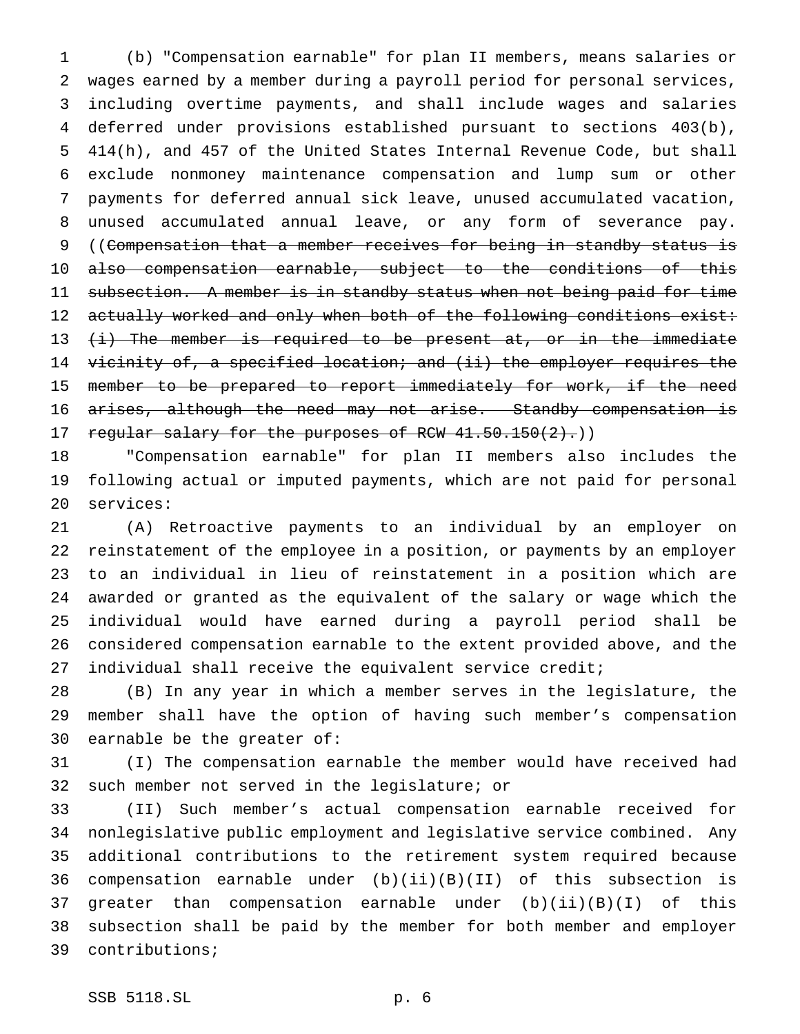(b) "Compensation earnable" for plan II members, means salaries or wages earned by a member during a payroll period for personal services, including overtime payments, and shall include wages and salaries deferred under provisions established pursuant to sections 403(b), 414(h), and 457 of the United States Internal Revenue Code, but shall exclude nonmoney maintenance compensation and lump sum or other payments for deferred annual sick leave, unused accumulated vacation, unused accumulated annual leave, or any form of severance pay. 9 ((Compensation that a member receives for being in standby status is also compensation earnable, subject to the conditions of this 11 subsection. A member is in standby status when not being paid for time 12 actually worked and only when both of the following conditions exist: 13  $(i)$  The member is required to be present at, or in the immediate 14 vicinity of, a specified location; and (ii) the employer requires the 15 member to be prepared to report immediately for work, if the need 16 arises, although the need may not arise. Standby compensation is 17 regular salary for the purposes of RCW 41.50.150(2).)

 "Compensation earnable" for plan II members also includes the following actual or imputed payments, which are not paid for personal services:

 (A) Retroactive payments to an individual by an employer on reinstatement of the employee in a position, or payments by an employer to an individual in lieu of reinstatement in a position which are awarded or granted as the equivalent of the salary or wage which the individual would have earned during a payroll period shall be considered compensation earnable to the extent provided above, and the individual shall receive the equivalent service credit;

 (B) In any year in which a member serves in the legislature, the member shall have the option of having such member's compensation earnable be the greater of:

 (I) The compensation earnable the member would have received had such member not served in the legislature; or

 (II) Such member's actual compensation earnable received for nonlegislative public employment and legislative service combined. Any additional contributions to the retirement system required because compensation earnable under (b)(ii)(B)(II) of this subsection is greater than compensation earnable under (b)(ii)(B)(I) of this subsection shall be paid by the member for both member and employer contributions;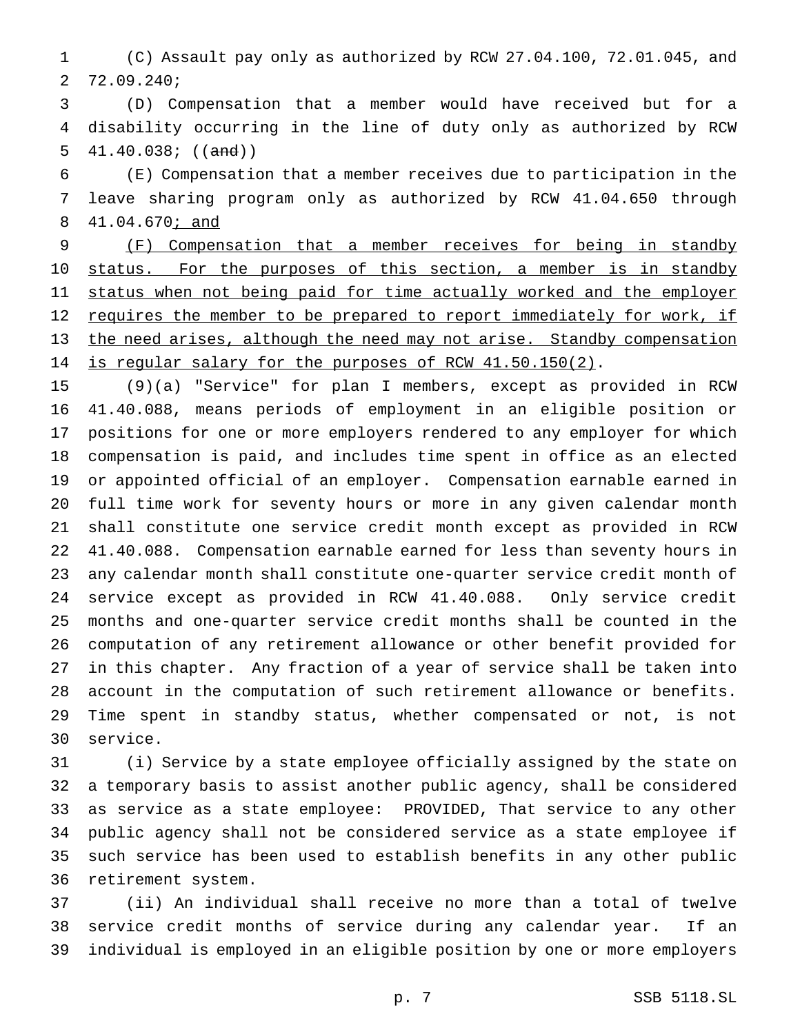(C) Assault pay only as authorized by RCW 27.04.100, 72.01.045, and 72.09.240;

 (D) Compensation that a member would have received but for a disability occurring in the line of duty only as authorized by RCW 5  $41.40.038$ ;  $((and))$ 

 (E) Compensation that a member receives due to participation in the leave sharing program only as authorized by RCW 41.04.650 through 41.04.670; and

 (F) Compensation that a member receives for being in standby 10 status. For the purposes of this section, a member is in standby 11 status when not being paid for time actually worked and the employer 12 requires the member to be prepared to report immediately for work, if the need arises, although the need may not arise. Standby compensation 14 is regular salary for the purposes of RCW 41.50.150(2).

 (9)(a) "Service" for plan I members, except as provided in RCW 41.40.088, means periods of employment in an eligible position or positions for one or more employers rendered to any employer for which compensation is paid, and includes time spent in office as an elected or appointed official of an employer. Compensation earnable earned in full time work for seventy hours or more in any given calendar month shall constitute one service credit month except as provided in RCW 41.40.088. Compensation earnable earned for less than seventy hours in any calendar month shall constitute one-quarter service credit month of service except as provided in RCW 41.40.088. Only service credit months and one-quarter service credit months shall be counted in the computation of any retirement allowance or other benefit provided for in this chapter. Any fraction of a year of service shall be taken into account in the computation of such retirement allowance or benefits. Time spent in standby status, whether compensated or not, is not service.

 (i) Service by a state employee officially assigned by the state on a temporary basis to assist another public agency, shall be considered as service as a state employee: PROVIDED, That service to any other public agency shall not be considered service as a state employee if such service has been used to establish benefits in any other public retirement system.

 (ii) An individual shall receive no more than a total of twelve service credit months of service during any calendar year. If an individual is employed in an eligible position by one or more employers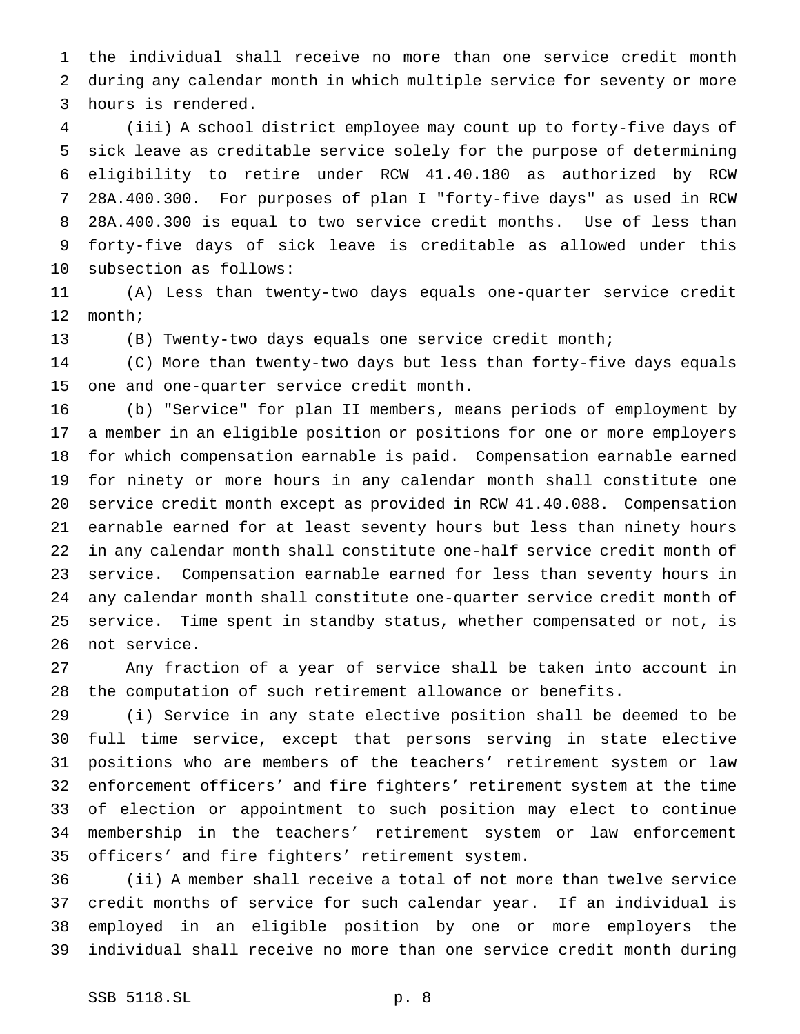the individual shall receive no more than one service credit month during any calendar month in which multiple service for seventy or more hours is rendered.

 (iii) A school district employee may count up to forty-five days of sick leave as creditable service solely for the purpose of determining eligibility to retire under RCW 41.40.180 as authorized by RCW 28A.400.300. For purposes of plan I "forty-five days" as used in RCW 28A.400.300 is equal to two service credit months. Use of less than forty-five days of sick leave is creditable as allowed under this subsection as follows:

 (A) Less than twenty-two days equals one-quarter service credit month;

(B) Twenty-two days equals one service credit month;

 (C) More than twenty-two days but less than forty-five days equals one and one-quarter service credit month.

 (b) "Service" for plan II members, means periods of employment by a member in an eligible position or positions for one or more employers for which compensation earnable is paid. Compensation earnable earned for ninety or more hours in any calendar month shall constitute one service credit month except as provided in RCW 41.40.088. Compensation earnable earned for at least seventy hours but less than ninety hours in any calendar month shall constitute one-half service credit month of service. Compensation earnable earned for less than seventy hours in any calendar month shall constitute one-quarter service credit month of service. Time spent in standby status, whether compensated or not, is not service.

 Any fraction of a year of service shall be taken into account in the computation of such retirement allowance or benefits.

 (i) Service in any state elective position shall be deemed to be full time service, except that persons serving in state elective positions who are members of the teachers' retirement system or law enforcement officers' and fire fighters' retirement system at the time of election or appointment to such position may elect to continue membership in the teachers' retirement system or law enforcement officers' and fire fighters' retirement system.

 (ii) A member shall receive a total of not more than twelve service credit months of service for such calendar year. If an individual is employed in an eligible position by one or more employers the individual shall receive no more than one service credit month during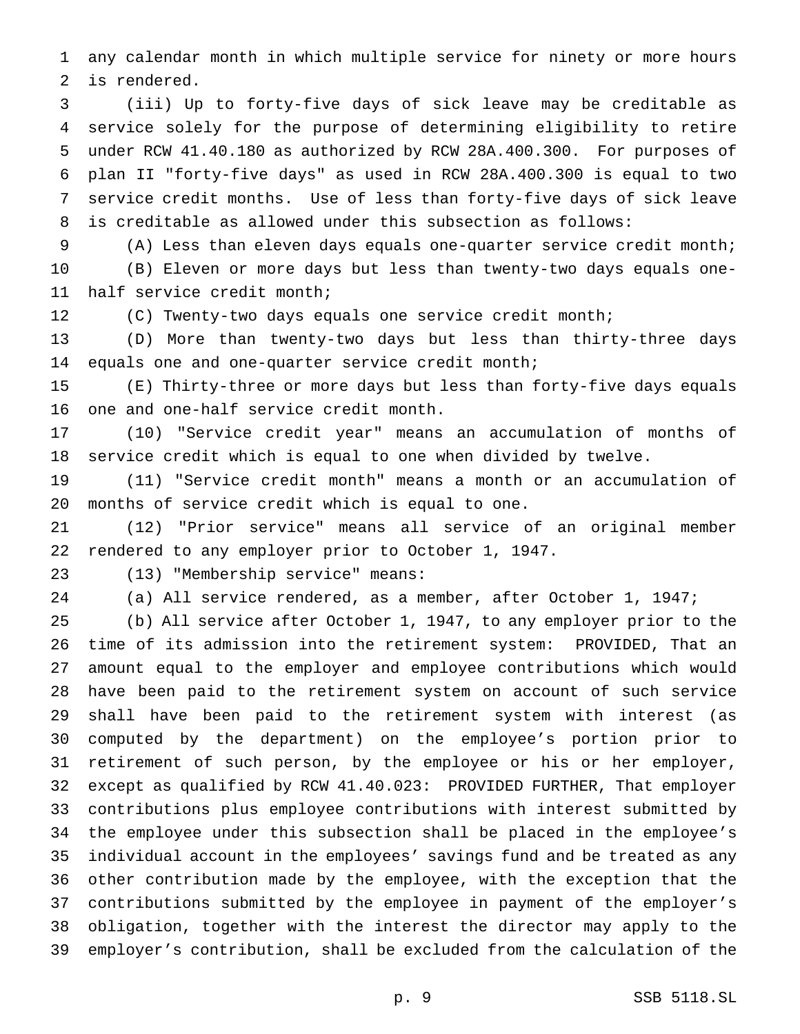any calendar month in which multiple service for ninety or more hours is rendered.

 (iii) Up to forty-five days of sick leave may be creditable as service solely for the purpose of determining eligibility to retire under RCW 41.40.180 as authorized by RCW 28A.400.300. For purposes of plan II "forty-five days" as used in RCW 28A.400.300 is equal to two service credit months. Use of less than forty-five days of sick leave is creditable as allowed under this subsection as follows:

 (A) Less than eleven days equals one-quarter service credit month; (B) Eleven or more days but less than twenty-two days equals one-half service credit month;

(C) Twenty-two days equals one service credit month;

 (D) More than twenty-two days but less than thirty-three days equals one and one-quarter service credit month;

 (E) Thirty-three or more days but less than forty-five days equals one and one-half service credit month.

 (10) "Service credit year" means an accumulation of months of service credit which is equal to one when divided by twelve.

 (11) "Service credit month" means a month or an accumulation of months of service credit which is equal to one.

 (12) "Prior service" means all service of an original member rendered to any employer prior to October 1, 1947.

(13) "Membership service" means:

(a) All service rendered, as a member, after October 1, 1947;

 (b) All service after October 1, 1947, to any employer prior to the time of its admission into the retirement system: PROVIDED, That an amount equal to the employer and employee contributions which would have been paid to the retirement system on account of such service shall have been paid to the retirement system with interest (as computed by the department) on the employee's portion prior to retirement of such person, by the employee or his or her employer, except as qualified by RCW 41.40.023: PROVIDED FURTHER, That employer contributions plus employee contributions with interest submitted by the employee under this subsection shall be placed in the employee's individual account in the employees' savings fund and be treated as any other contribution made by the employee, with the exception that the contributions submitted by the employee in payment of the employer's obligation, together with the interest the director may apply to the employer's contribution, shall be excluded from the calculation of the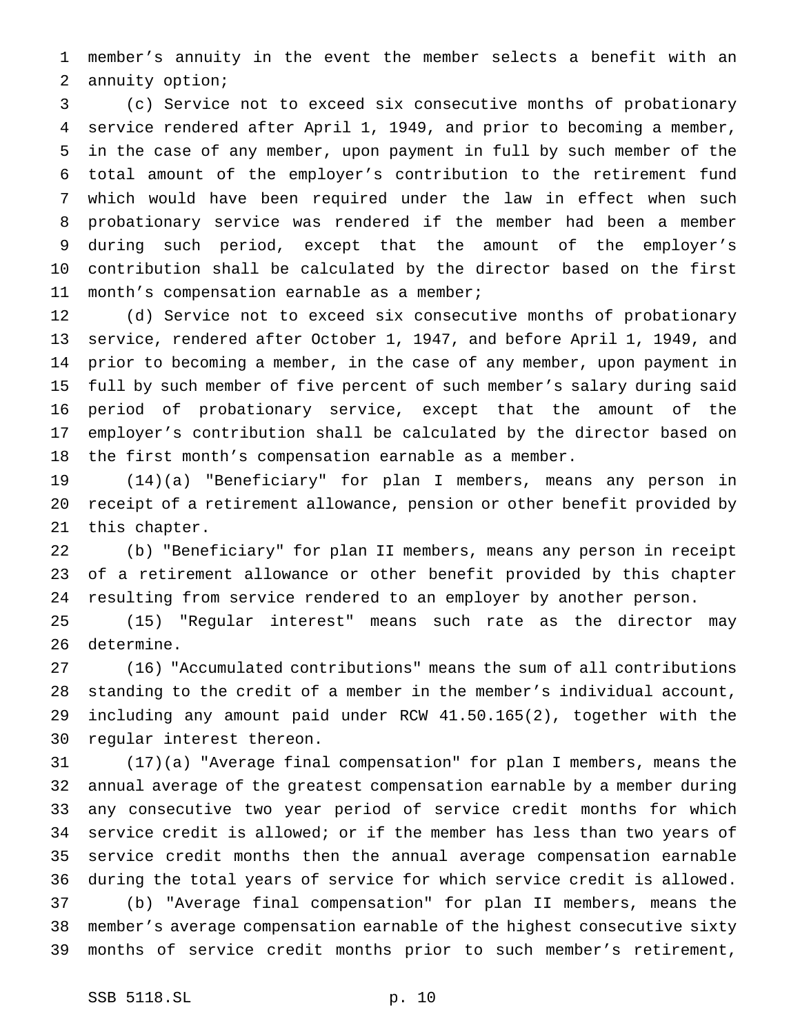member's annuity in the event the member selects a benefit with an annuity option;

 (c) Service not to exceed six consecutive months of probationary service rendered after April 1, 1949, and prior to becoming a member, in the case of any member, upon payment in full by such member of the total amount of the employer's contribution to the retirement fund which would have been required under the law in effect when such probationary service was rendered if the member had been a member during such period, except that the amount of the employer's contribution shall be calculated by the director based on the first month's compensation earnable as a member;

 (d) Service not to exceed six consecutive months of probationary service, rendered after October 1, 1947, and before April 1, 1949, and prior to becoming a member, in the case of any member, upon payment in full by such member of five percent of such member's salary during said period of probationary service, except that the amount of the employer's contribution shall be calculated by the director based on the first month's compensation earnable as a member.

 (14)(a) "Beneficiary" for plan I members, means any person in receipt of a retirement allowance, pension or other benefit provided by this chapter.

 (b) "Beneficiary" for plan II members, means any person in receipt of a retirement allowance or other benefit provided by this chapter resulting from service rendered to an employer by another person.

 (15) "Regular interest" means such rate as the director may determine.

 (16) "Accumulated contributions" means the sum of all contributions standing to the credit of a member in the member's individual account, including any amount paid under RCW 41.50.165(2), together with the regular interest thereon.

 (17)(a) "Average final compensation" for plan I members, means the annual average of the greatest compensation earnable by a member during any consecutive two year period of service credit months for which service credit is allowed; or if the member has less than two years of service credit months then the annual average compensation earnable during the total years of service for which service credit is allowed. (b) "Average final compensation" for plan II members, means the member's average compensation earnable of the highest consecutive sixty

months of service credit months prior to such member's retirement,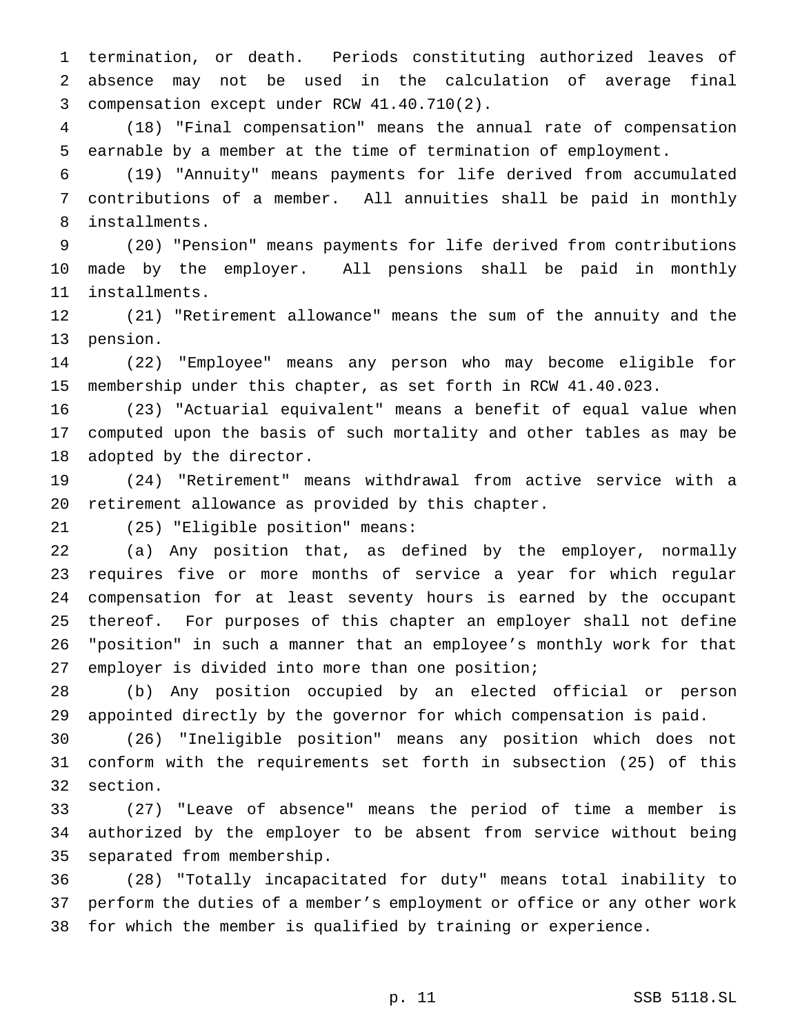termination, or death. Periods constituting authorized leaves of absence may not be used in the calculation of average final compensation except under RCW 41.40.710(2).

 (18) "Final compensation" means the annual rate of compensation earnable by a member at the time of termination of employment.

 (19) "Annuity" means payments for life derived from accumulated contributions of a member. All annuities shall be paid in monthly installments.

 (20) "Pension" means payments for life derived from contributions made by the employer. All pensions shall be paid in monthly installments.

 (21) "Retirement allowance" means the sum of the annuity and the pension.

 (22) "Employee" means any person who may become eligible for membership under this chapter, as set forth in RCW 41.40.023.

 (23) "Actuarial equivalent" means a benefit of equal value when computed upon the basis of such mortality and other tables as may be adopted by the director.

 (24) "Retirement" means withdrawal from active service with a retirement allowance as provided by this chapter.

(25) "Eligible position" means:

 (a) Any position that, as defined by the employer, normally requires five or more months of service a year for which regular compensation for at least seventy hours is earned by the occupant thereof. For purposes of this chapter an employer shall not define "position" in such a manner that an employee's monthly work for that employer is divided into more than one position;

 (b) Any position occupied by an elected official or person appointed directly by the governor for which compensation is paid.

 (26) "Ineligible position" means any position which does not conform with the requirements set forth in subsection (25) of this section.

 (27) "Leave of absence" means the period of time a member is authorized by the employer to be absent from service without being separated from membership.

 (28) "Totally incapacitated for duty" means total inability to perform the duties of a member's employment or office or any other work for which the member is qualified by training or experience.